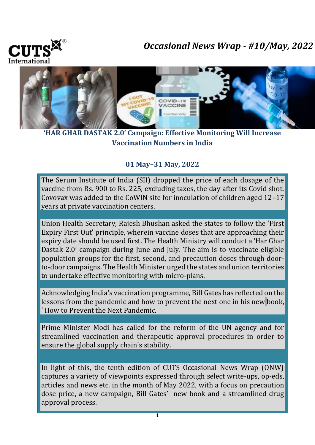

## *Occasional News Wrap - #10/May, 2022*



**'HAR GHAR DASTAK 2.0' Campaign: Effective Monitoring Will Increase Vaccination Numbers in India**

## **01 May–31 May, 2022**

The Serum Institute of India (SII) dropped the price of each dosage of the vaccine from Rs. 900 to Rs. 225, excluding taxes, the day after its Covid shot, Covovax was added to the CoWIN site for inoculation of children aged 12–17 years at private vaccination centers.

Union Health Secretary, Rajesh Bhushan asked the states to follow the 'First Expiry First Out' principle, wherein vaccine doses that are approaching their expiry date should be used first. The Health Ministry will conduct a 'Har Ghar Dastak 2.0' campaign during June and July. The aim is to vaccinate eligible population groups for the first, second, and precaution doses through doorto-door campaigns. The Health Minister urged the states and union territories to undertake effective monitoring with micro-plans.

Acknowledging India's vaccination programme, Bill Gates has reflected on the lessons from the pandemic and how to prevent the next one in his new book, ' How to Prevent the Next Pandemic.

Prime Minister Modi has called for the reform of the UN agency and for streamlined vaccination and therapeutic approval procedures in order to ensure the global supply chain's stability.

In light of this, the tenth edition of CUTS Occasional News Wrap (ONW) captures a variety of viewpoints expressed through select write-ups, op-eds, articles and news etc. in the month of May 2022, with a focus on precaution dose price, a new campaign, Bill Gates' new book and a streamlined drug approval process.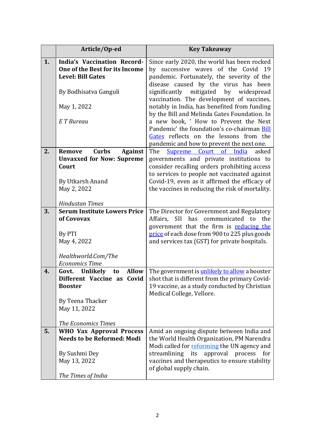|    | Article/Op-ed                                                                                    | <b>Key Takeaway</b>                                                                                                                                                         |
|----|--------------------------------------------------------------------------------------------------|-----------------------------------------------------------------------------------------------------------------------------------------------------------------------------|
| 1. | <b>India's Vaccination Record-</b><br>One of the Best for its Income<br><b>Level: Bill Gates</b> | Since early 2020, the world has been rocked<br>by successive waves of the Covid 19<br>pandemic. Fortunately, the severity of the<br>disease caused by the virus has been    |
|    | By Bodhisatva Ganguli                                                                            | significantly mitigated by widespread<br>vaccination. The development of vaccines,                                                                                          |
|    | May 1, 2022                                                                                      | notably in India, has benefited from funding<br>by the Bill and Melinda Gates Foundation. In                                                                                |
|    | E T Bureau                                                                                       | a new book, ' How to Prevent the Next<br>Pandemic' the foundation's co-chairman Bill<br>Gates reflects on the lessons from the<br>pandemic and how to prevent the next one. |
| 2. | <b>Curbs</b><br><b>Against</b><br><b>Remove</b>                                                  | The<br>Supreme Court of India<br>asked                                                                                                                                      |
|    | <b>Unvaxxed for Now: Supreme</b>                                                                 | governments and private institutions to                                                                                                                                     |
|    | Court                                                                                            | consider recalling orders prohibiting access                                                                                                                                |
|    |                                                                                                  | to services to people not vaccinated against                                                                                                                                |
|    | By Utkarsh Anand                                                                                 | Covid-19, even as it affirmed the efficacy of                                                                                                                               |
|    | May 2, 2022                                                                                      | the vaccines in reducing the risk of mortality.                                                                                                                             |
|    | <b>Hindustan Times</b>                                                                           |                                                                                                                                                                             |
| 3. | <b>Serum Institute Lowers Price</b>                                                              | The Director for Government and Regulatory                                                                                                                                  |
|    | of Covovax                                                                                       | Affairs, SII has communicated to<br>the                                                                                                                                     |
|    | By PTI                                                                                           | government that the firm is reducing the<br>price of each dose from 900 to 225 plus goods                                                                                   |
|    | May 4, 2022                                                                                      | and services tax (GST) for private hospitals.                                                                                                                               |
|    |                                                                                                  |                                                                                                                                                                             |
|    | Healthworld.Com/The                                                                              |                                                                                                                                                                             |
|    | <b>Economics Time</b>                                                                            |                                                                                                                                                                             |
| 4. | Govt.<br><b>Unlikely</b><br>Allow<br>to                                                          | The government is unlikely to allow a booster                                                                                                                               |
|    |                                                                                                  | <b>Different Vaccine as Covid</b> $\vert$ shot that is different from the primary Covid-                                                                                    |
|    | <b>Booster</b>                                                                                   | 19 vaccine, as a study conducted by Christian<br>Medical College, Vellore.                                                                                                  |
|    | By Teena Thacker                                                                                 |                                                                                                                                                                             |
|    | May 11, 2022                                                                                     |                                                                                                                                                                             |
|    |                                                                                                  |                                                                                                                                                                             |
|    | <b>The Economics Times</b>                                                                       |                                                                                                                                                                             |
| 5. | <b>WHO Vax Approval Process</b>                                                                  | Amid an ongoing dispute between India and                                                                                                                                   |
|    | <b>Needs to be Reformed: Modi</b>                                                                | the World Health Organization, PM Narendra                                                                                                                                  |
|    |                                                                                                  | Modi called for reforming the UN agency and                                                                                                                                 |
|    | By Sushmi Dey                                                                                    | approval process for<br>streamlining its<br>vaccines and therapeutics to ensure stability                                                                                   |
|    | May 13, 2022                                                                                     | of global supply chain.                                                                                                                                                     |
|    | The Times of India                                                                               |                                                                                                                                                                             |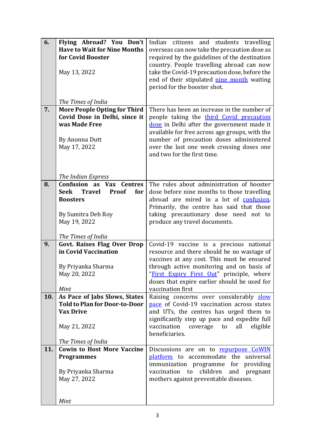| 6.  | Flying Abroad? You Don't                                                        | Indian citizens and students travelling                                                   |
|-----|---------------------------------------------------------------------------------|-------------------------------------------------------------------------------------------|
|     | <b>Have to Wait for Nine Months</b>                                             | overseas can now take the precaution dose as                                              |
|     | for Covid Booster                                                               | required by the guidelines of the destination                                             |
|     |                                                                                 | country. People travelling abroad can now                                                 |
|     | May 13, 2022                                                                    | take the Covid-19 precaution dose, before the                                             |
|     |                                                                                 | end of their stipulated nine month waiting                                                |
|     |                                                                                 | period for the booster shot.                                                              |
|     | The Times of India                                                              |                                                                                           |
| 7.  | <b>More People Opting for Third</b>                                             | There has been an increase in the number of                                               |
|     | Covid Dose in Delhi, since it                                                   | people taking the third Covid precaution                                                  |
|     | was Made Free                                                                   | dose in Delhi after the government made it                                                |
|     |                                                                                 | available for free across age groups, with the                                            |
|     | By Anonna Dutt                                                                  | number of precaution doses administered                                                   |
|     | May 17, 2022                                                                    | over the last one week crossing doses one                                                 |
|     |                                                                                 | and two for the first time.                                                               |
|     |                                                                                 |                                                                                           |
|     |                                                                                 |                                                                                           |
|     | The Indian Express                                                              |                                                                                           |
| 8.  | <b>Confusion as Vax Centres</b><br><b>Travel</b><br>Proof<br><b>Seek</b><br>for | The rules about administration of booster                                                 |
|     | <b>Boosters</b>                                                                 | dose before nine months to those travelling<br>abroad are mired in a lot of confusion.    |
|     |                                                                                 | Primarily, the centre has said that those                                                 |
|     | By Sumitra Deb Roy                                                              | taking precautionary dose need not to                                                     |
|     | May 19, 2022                                                                    | produce any travel documents.                                                             |
|     |                                                                                 |                                                                                           |
|     | The Times of India                                                              |                                                                                           |
| 9.  | <b>Govt. Raises Flag Over Drop</b>                                              | Covid-19 vaccine is a precious national                                                   |
|     | in Covid Vaccination                                                            | resource and there should be no wastage of                                                |
|     |                                                                                 | vaccines at any cost. This must be ensured                                                |
|     | By Priyanka Sharma                                                              | through active monitoring and on basis of                                                 |
|     | May 20, 2022                                                                    | "First Expiry First Out" principle, where<br>doses that expire earlier should be used for |
|     | Mint                                                                            | vaccination first                                                                         |
| 10. | As Pace of Jabs Slows, States                                                   | Raising concerns over considerably slow                                                   |
|     | <b>Told to Plan for Door-to-Door</b>                                            | pace of Covid-19 vaccination across states                                                |
|     | <b>Vax Drive</b>                                                                | and UTs, the centres has urged them to                                                    |
|     |                                                                                 | significantly step up pace and expedite full                                              |
|     | May 21, 2022                                                                    | vaccination<br>coverage<br>all<br>eligible<br>to                                          |
|     |                                                                                 | beneficiaries.                                                                            |
|     | The Times of India                                                              |                                                                                           |
| 11. | <b>Cowin to Host More Vaccine</b>                                               | Discussions are on to repurpose CoWIN                                                     |
|     | <b>Programmes</b>                                                               | platform to accommodate the universal                                                     |
|     |                                                                                 | immunization programme for<br>providing                                                   |
|     | By Priyanka Sharma                                                              | children<br>vaccination to<br>and<br>pregnant                                             |
|     | May 27, 2022                                                                    | mothers against preventable diseases.                                                     |
|     |                                                                                 |                                                                                           |
|     | Mint                                                                            |                                                                                           |